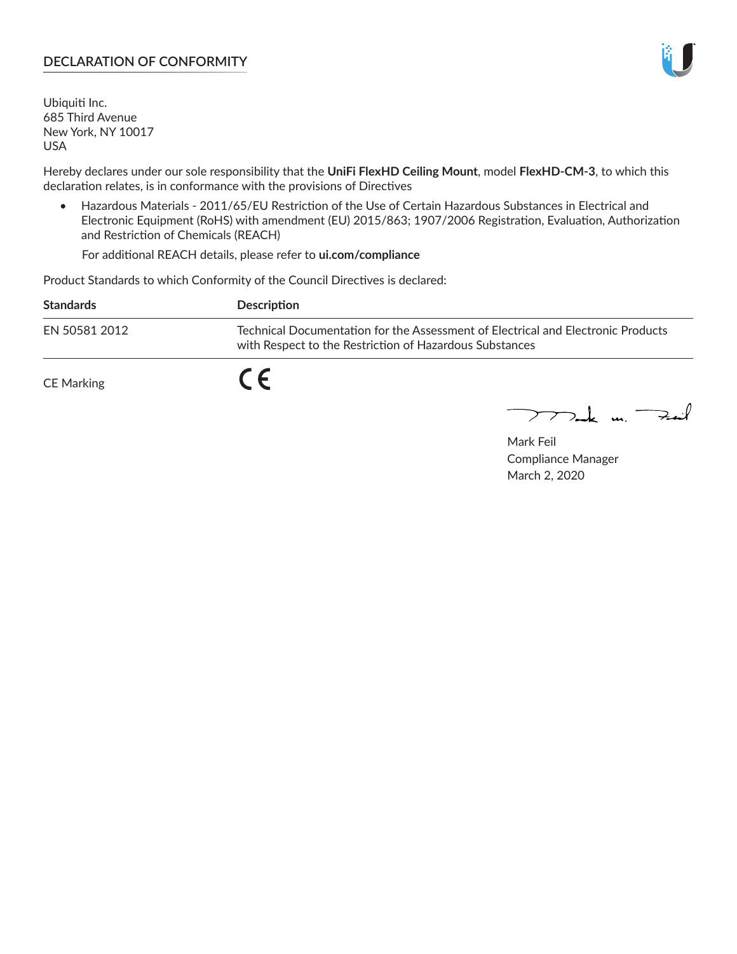## **DECLARATION OF CONFORMITY**

Ubiquiti Inc. 685 Third Avenue New York, NY 10017 USA

Hereby declares under our sole responsibility that the **UniFi FlexHD Ceiling Mount**, model **FlexHD-CM-3**, to which this declaration relates, is in conformance with the provisions of Directives

• Hazardous Materials - 2011/65/EU Restriction of the Use of Certain Hazardous Substances in Electrical and Electronic Equipment (RoHS) with amendment (EU) 2015/863; 1907/2006 Registration, Evaluation, Authorization and Restriction of Chemicals (REACH)

For additional REACH details, please refer to **ui.com/compliance**

Product Standards to which Conformity of the Council Directives is declared:

| <b>Standards</b>  | Description                                                                                                                                 |
|-------------------|---------------------------------------------------------------------------------------------------------------------------------------------|
| EN 50581 2012     | Technical Documentation for the Assessment of Electrical and Electronic Products<br>with Respect to the Restriction of Hazardous Substances |
| <b>CE Marking</b> |                                                                                                                                             |

 $\sum_{n=1}^{\infty}$  un  $\sum_{n=1}^{\infty}$ 

Mark Feil Compliance Manager March 2, 2020

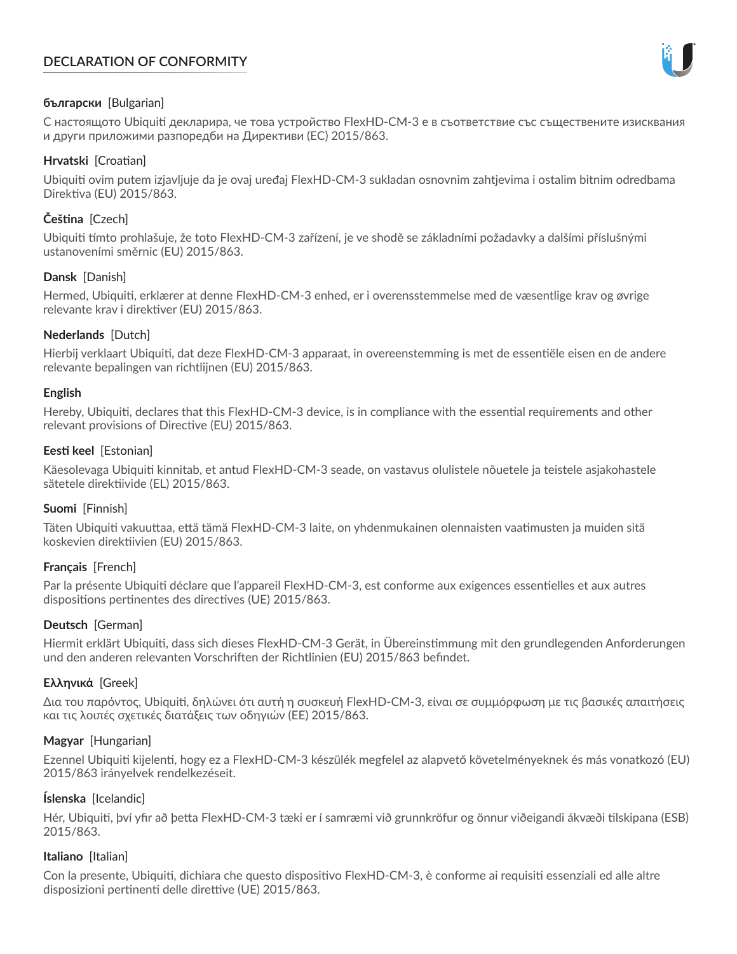# **DECLARATION OF CONFORMITY**



## **български** [Bulgarian]

С настоящото Ubiquiti декларира, че това устройство FlexHD-CM-3 е в съответствие със съществените изисквания и други приложими разпоредби на Директиви (ЕС) 2015/863.

## **Hrvatski** [Croatian]

Ubiquiti ovim putem izjavljuje da je ovaj uređaj FlexHD-CM-3 sukladan osnovnim zahtjevima i ostalim bitnim odredbama Direktiva (EU) 2015/863.

# **Čeština** [Czech]

Ubiquiti tímto prohlašuje, že toto FlexHD-CM-3 zařízení, je ve shodě se základními požadavky a dalšími příslušnými ustanoveními směrnic (EU) 2015/863.

## **Dansk** [Danish]

Hermed, Ubiquiti, erklærer at denne FlexHD-CM-3 enhed, er i overensstemmelse med de væsentlige krav og øvrige relevante krav i direktiver (EU) 2015/863.

## **Nederlands** [Dutch]

Hierbij verklaart Ubiquiti, dat deze FlexHD-CM-3 apparaat, in overeenstemming is met de essentiële eisen en de andere relevante bepalingen van richtlijnen (EU) 2015/863.

### **English**

Hereby, Ubiquiti, declares that this FlexHD-CM-3 device, is in compliance with the essential requirements and other relevant provisions of Directive (EU) 2015/863.

## **Eesti keel** [Estonian]

Käesolevaga Ubiquiti kinnitab, et antud FlexHD-CM-3 seade, on vastavus olulistele nõuetele ja teistele asjakohastele sätetele direktiivide (EL) 2015/863.

### **Suomi** [Finnish]

Täten Ubiquiti vakuuttaa, että tämä FlexHD-CM-3 laite, on yhdenmukainen olennaisten vaatimusten ja muiden sitä koskevien direktiivien (EU) 2015/863.

### **Français** [French]

Par la présente Ubiquiti déclare que l'appareil FlexHD-CM-3, est conforme aux exigences essentielles et aux autres dispositions pertinentes des directives (UE) 2015/863.

## **Deutsch** [German]

Hiermit erklärt Ubiquiti, dass sich dieses FlexHD-CM-3 Gerät, in Übereinstimmung mit den grundlegenden Anforderungen und den anderen relevanten Vorschriften der Richtlinien (EU) 2015/863 befindet.

### **Ελληνικά** [Greek]

Δια του παρόντος, Ubiquiti, δηλώνει ότι αυτή η συσκευή FlexHD-CM-3, είναι σε συμμόρφωση με τις βασικές απαιτήσεις και τις λοιπές σχετικές διατάξεις των οδηγιών (ΕΕ) 2015/863.

### **Magyar** [Hungarian]

Ezennel Ubiquiti kijelenti, hogy ez a FlexHD-CM-3 készülék megfelel az alapvető követelményeknek és más vonatkozó (EU) 2015/863 irányelvek rendelkezéseit.

### **Íslenska** [Icelandic]

Hér, Ubiquiti, því yfir að þetta FlexHD-CM-3 tæki er í samræmi við grunnkröfur og önnur viðeigandi ákvæði tilskipana (ESB) 2015/863.

### **Italiano** [Italian]

Con la presente, Ubiquiti, dichiara che questo dispositivo FlexHD-CM-3, è conforme ai requisiti essenziali ed alle altre disposizioni pertinenti delle direttive (UE) 2015/863.